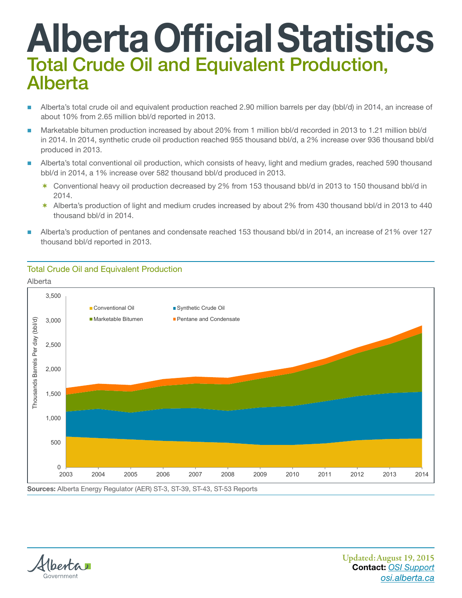## Alberta Official Statistics Total Crude Oil and Equivalent Production, Alberta

- Alberta's total crude oil and equivalent production reached 2.90 million barrels per day (bbl/d) in 2014, an increase of about 10% from 2.65 million bbl/d reported in 2013.
- Marketable bitumen production increased by about 20% from 1 million bbl/d recorded in 2013 to 1.21 million bbl/d in 2014. In 2014, synthetic crude oil production reached 955 thousand bbl/d, a 2% increase over 936 thousand bbl/d produced in 2013.
- Alberta's total conventional oil production, which consists of heavy, light and medium grades, reached 590 thousand bbl/d in 2014, a 1% increase over 582 thousand bbl/d produced in 2013.
	- \* Conventional heavy oil production decreased by 2% from 153 thousand bbl/d in 2013 to 150 thousand bbl/d in 2014.
	- \* Alberta's production of light and medium crudes increased by about 2% from 430 thousand bbl/d in 2013 to 440 thousand bbl/d in 2014.
- thousand bbl/d reported in 2013. Alberta's production of pentanes and condensate reached 153 thousand bbl/d in 2014, an increase of 21% over 127

## Total Crude Oil and Equivalent Production Total Crude Oil and Equivalent Production

Alberta Alberta





Updated:August 19, 2015 Contact: *[OSI Support](mailto:osi.support%40gov.ab.ca?subject=Total%20Crude%20Oil%20and%20Equivalent%20Production%2C%20Alberta%20%20) <osi.alberta.ca>*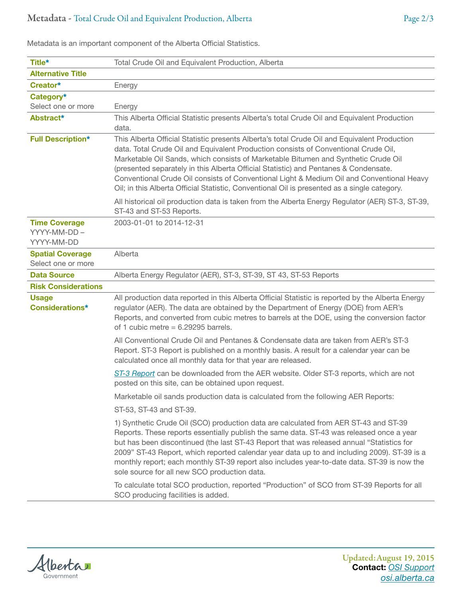| Title*                                             | Total Crude Oil and Equivalent Production, Alberta                                                                                                                                                                                                                                                                                                                                                                                                                                                                                                             |  |  |
|----------------------------------------------------|----------------------------------------------------------------------------------------------------------------------------------------------------------------------------------------------------------------------------------------------------------------------------------------------------------------------------------------------------------------------------------------------------------------------------------------------------------------------------------------------------------------------------------------------------------------|--|--|
| <b>Alternative Title</b>                           |                                                                                                                                                                                                                                                                                                                                                                                                                                                                                                                                                                |  |  |
| Creator*                                           | Energy                                                                                                                                                                                                                                                                                                                                                                                                                                                                                                                                                         |  |  |
| Category*                                          |                                                                                                                                                                                                                                                                                                                                                                                                                                                                                                                                                                |  |  |
| Select one or more                                 | Energy                                                                                                                                                                                                                                                                                                                                                                                                                                                                                                                                                         |  |  |
| Abstract*                                          | This Alberta Official Statistic presents Alberta's total Crude Oil and Equivalent Production<br>data.                                                                                                                                                                                                                                                                                                                                                                                                                                                          |  |  |
| <b>Full Description*</b>                           | This Alberta Official Statistic presents Alberta's total Crude Oil and Equivalent Production<br>data. Total Crude Oil and Equivalent Production consists of Conventional Crude Oil,<br>Marketable Oil Sands, which consists of Marketable Bitumen and Synthetic Crude Oil<br>(presented separately in this Alberta Official Statistic) and Pentanes & Condensate.<br>Conventional Crude Oil consists of Conventional Light & Medium Oil and Conventional Heavy<br>Oil; in this Alberta Official Statistic, Conventional Oil is presented as a single category. |  |  |
|                                                    | All historical oil production data is taken from the Alberta Energy Regulator (AER) ST-3, ST-39,<br>ST-43 and ST-53 Reports.                                                                                                                                                                                                                                                                                                                                                                                                                                   |  |  |
| <b>Time Coverage</b><br>YYYY-MM-DD -<br>YYYY-MM-DD | 2003-01-01 to 2014-12-31                                                                                                                                                                                                                                                                                                                                                                                                                                                                                                                                       |  |  |
| <b>Spatial Coverage</b><br>Select one or more      | Alberta                                                                                                                                                                                                                                                                                                                                                                                                                                                                                                                                                        |  |  |
| <b>Data Source</b>                                 | Alberta Energy Regulator (AER), ST-3, ST-39, ST 43, ST-53 Reports                                                                                                                                                                                                                                                                                                                                                                                                                                                                                              |  |  |
| <b>Risk Considerations</b>                         |                                                                                                                                                                                                                                                                                                                                                                                                                                                                                                                                                                |  |  |
| <b>Usage</b><br><b>Considerations*</b>             | All production data reported in this Alberta Official Statistic is reported by the Alberta Energy<br>regulator (AER). The data are obtained by the Department of Energy (DOE) from AER's<br>Reports, and converted from cubic metres to barrels at the DOE, using the conversion factor<br>of 1 cubic metre = $6.29295$ barrels.                                                                                                                                                                                                                               |  |  |
|                                                    | All Conventional Crude Oil and Pentanes & Condensate data are taken from AER's ST-3<br>Report. ST-3 Report is published on a monthly basis. A result for a calendar year can be<br>calculated once all monthly data for that year are released.                                                                                                                                                                                                                                                                                                                |  |  |
|                                                    | ST-3 Report can be downloaded from the AER website. Older ST-3 reports, which are not<br>posted on this site, can be obtained upon request.                                                                                                                                                                                                                                                                                                                                                                                                                    |  |  |
|                                                    | Marketable oil sands production data is calculated from the following AER Reports:                                                                                                                                                                                                                                                                                                                                                                                                                                                                             |  |  |
|                                                    | ST-53, ST-43 and ST-39.                                                                                                                                                                                                                                                                                                                                                                                                                                                                                                                                        |  |  |
|                                                    | 1) Synthetic Crude Oil (SCO) production data are calculated from AER ST-43 and ST-39<br>Reports. These reports essentially publish the same data. ST-43 was released once a year<br>but has been discontinued (the last ST-43 Report that was released annual "Statistics for<br>2009" ST-43 Report, which reported calendar year data up to and including 2009). ST-39 is a<br>monthly report; each monthly ST-39 report also includes year-to-date data. ST-39 is now the<br>sole source for all new SCO production data.                                    |  |  |
|                                                    | To calculate total SCO production, reported "Production" of SCO from ST-39 Reports for all<br>SCO producing facilities is added.                                                                                                                                                                                                                                                                                                                                                                                                                               |  |  |